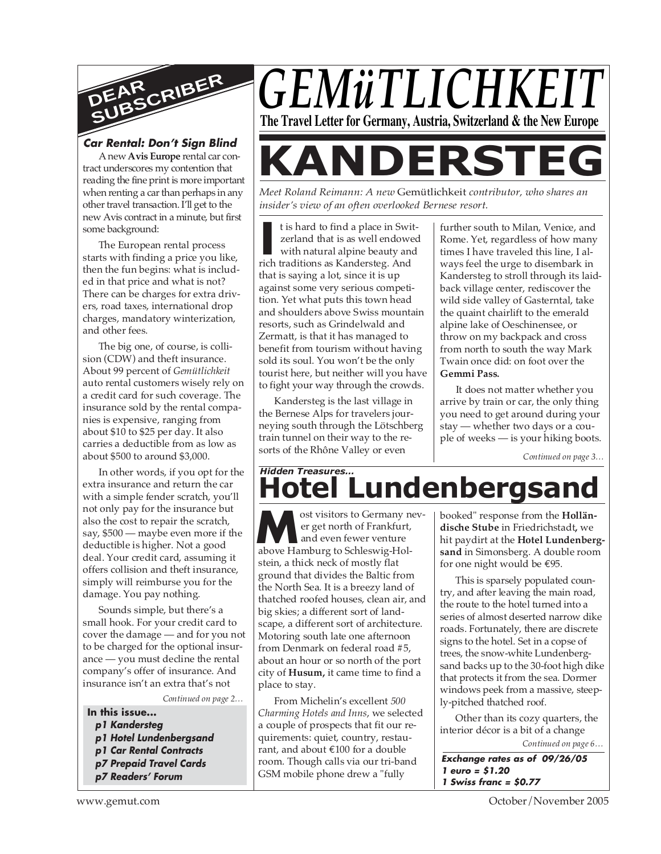

## **Car Rental: Don't Sign Blind**

A new **Avis Europe** rental car contract underscores my contention that reading the fine print is more important when renting a car than perhaps in any other travel transaction. I'll get to the new Avis contract in a minute, but first some background:

The European rental process starts with finding a price you like, then the fun begins: what is included in that price and what is not? There can be charges for extra drivers, road taxes, international drop charges, mandatory winterization, and other fees.

The big one, of course, is collision (CDW) and theft insurance. About 99 percent of *Gemütlichkeit* auto rental customers wisely rely on a credit card for such coverage. The insurance sold by the rental companies is expensive, ranging from about \$10 to \$25 per day. It also carries a deductible from as low as about \$500 to around \$3,000.

In other words, if you opt for the extra insurance and return the car with a simple fender scratch, you'll not only pay for the insurance but also the cost to repair the scratch, say, \$500 — maybe even more if the deductible is higher. Not a good deal. Your credit card, assuming it offers collision and theft insurance, simply will reimburse you for the damage. You pay nothing.

Sounds simple, but there's a small hook. For your credit card to cover the damage — and for you not to be charged for the optional insurance — you must decline the rental company's offer of insurance. And insurance isn't an extra that's not

*Continued on page 2…*

**In this issue... p1 Kandersteg p1 Hotel Lundenbergsand p1 Car Rental Contracts p7 Prepaid Travel Cards p7 Readers' Forum**



*Meet Roland Reimann: A new* Gemütlichkeit *contributor, who shares an insider's view of an often overlooked Bernese resort.*

**I** t is hard to find a place in Swi<br>
zerland that is as well endowed<br>
with natural alpine beauty and<br>
rich traditions as Kandersteg. And t is hard to find a place in Switzerland that is as well endowed with natural alpine beauty and that is saying a lot, since it is up against some very serious competition. Yet what puts this town head and shoulders above Swiss mountain resorts, such as Grindelwald and Zermatt, is that it has managed to benefit from tourism without having sold its soul. You won't be the only tourist here, but neither will you have to fight your way through the crowds.

Kandersteg is the last village in the Bernese Alps for travelers journeying south through the Lötschberg train tunnel on their way to the resorts of the Rhône Valley or even

further south to Milan, Venice, and Rome. Yet, regardless of how many times I have traveled this line, I always feel the urge to disembark in Kandersteg to stroll through its laidback village center, rediscover the wild side valley of Gasterntal, take the quaint chairlift to the emerald alpine lake of Oeschinensee, or throw on my backpack and cross from north to south the way Mark Twain once did: on foot over the **Gemmi Pass.**

It does not matter whether you arrive by train or car, the only thing you need to get around during your stay — whether two days or a couple of weeks — is your hiking boots.

*Continued on page 3…*

## **Hotel Lundenbergsan** *Hidden Treasures…*

ost visitors to Germany never get north of Frankfurt, and even fewer venture ost visitors to Germany n<br>
er get north of Frankfurt,<br>
above Hamburg to Schleswig-Holstein, a thick neck of mostly flat ground that divides the Baltic from the North Sea. It is a breezy land of thatched roofed houses, clean air, and big skies; a different sort of landscape, a different sort of architecture. Motoring south late one afternoon from Denmark on federal road #5, about an hour or so north of the port city of **Husum,** it came time to find a place to stay.

From Michelin's excellent *500 Charming Hotels and Inns*, we selected a couple of prospects that fit our requirements: quiet, country, restaurant, and about €100 for a double room. Though calls via our tri-band GSM mobile phone drew a "fully

booked" response from the **Holländische Stube** in Friedrichstadt**,** we hit paydirt at the **Hotel Lundenbergsand** in Simonsberg. A double room for one night would be €95.

This is sparsely populated country, and after leaving the main road, the route to the hotel turned into a series of almost deserted narrow dike roads. Fortunately, there are discrete signs to the hotel. Set in a copse of trees, the snow-white Lundenbergsand backs up to the 30-foot high dike that protects it from the sea. Dormer windows peek from a massive, steeply-pitched thatched roof.

*Continued on page 6…* Other than its cozy quarters, the interior décor is a bit of a change

**Exchange rates as of 09/26/05 1 euro = \$1.20 1 Swiss franc = \$0.77**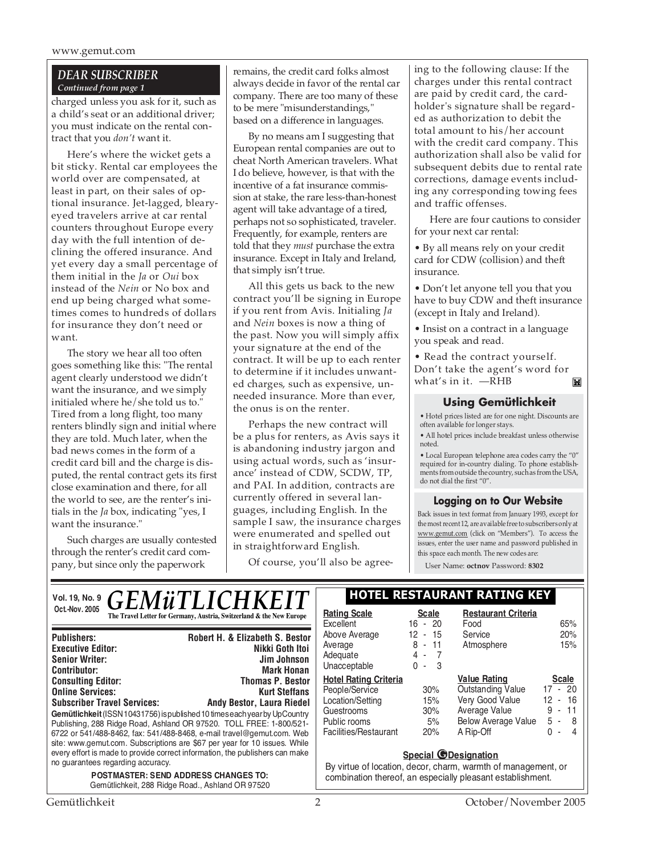#### *DEAR SUBSCRIBER Continued from page 1*

charged unless you ask for it, such as a child's seat or an additional driver; you must indicate on the rental contract that you *don't* want it.

Here's where the wicket gets a bit sticky. Rental car employees the world over are compensated, at least in part, on their sales of optional insurance. Jet-lagged, blearyeyed travelers arrive at car rental counters throughout Europe every day with the full intention of declining the offered insurance. And yet every day a small percentage of them initial in the *Ja* or *Oui* box instead of the *Nein* or No box and end up being charged what sometimes comes to hundreds of dollars for insurance they don't need or want.

The story we hear all too often goes something like this: "The rental agent clearly understood we didn't want the insurance, and we simply initialed where he/she told us to." Tired from a long flight, too many renters blindly sign and initial where they are told. Much later, when the bad news comes in the form of a credit card bill and the charge is disputed, the rental contract gets its first close examination and there, for all the world to see, are the renter's initials in the *Ja* box, indicating "yes, I want the insurance."

Such charges are usually contested through the renter's credit card company, but since only the paperwork

remains, the credit card folks almost always decide in favor of the rental car company. There are too many of these to be mere "misunderstandings," based on a difference in languages.

By no means am I suggesting that European rental companies are out to cheat North American travelers. What I do believe, however, is that with the incentive of a fat insurance commission at stake, the rare less-than-honest agent will take advantage of a tired, perhaps not so sophisticated, traveler. Frequently, for example, renters are told that they *must* purchase the extra insurance. Except in Italy and Ireland, that simply isn't true.

All this gets us back to the new contract you'll be signing in Europe if you rent from Avis. Initialing *Ja* and *Nein* boxes is now a thing of the past. Now you will simply affix your signature at the end of the contract. It will be up to each renter to determine if it includes unwanted charges, such as expensive, unneeded insurance. More than ever, the onus is on the renter.

Perhaps the new contract will be a plus for renters, as Avis says it is abandoning industry jargon and using actual words, such as 'insurance' instead of CDW, SCDW, TP, and PAI. In addition, contracts are currently offered in several languages, including English. In the sample I saw, the insurance charges were enumerated and spelled out in straightforward English.

Of course, you'll also be agree-

ing to the following clause: If the charges under this rental contract are paid by credit card, the cardholder's signature shall be regarded as authorization to debit the total amount to his/her account with the credit card company. This authorization shall also be valid for subsequent debits due to rental rate corrections, damage events including any corresponding towing fees and traffic offenses.

Here are four cautions to consider for your next car rental:

• By all means rely on your credit card for CDW (collision) and theft insurance.

• Don't let anyone tell you that you have to buy CDW and theft insurance (except in Italy and Ireland).

• Insist on a contract in a language you speak and read.

• Read the contract yourself. Don't take the agent's word for what's in it. —RHBĬ.

#### **Using Gemütlichkeit**

• Hotel prices listed are for one night. Discounts are often available for longer stays.

• All hotel prices include breakfast unless otherwise noted.

• Local European telephone area codes carry the "0" required for in-country dialing. To phone establishments from outside the country, such as from the USA, do not dial the first "0".

#### **Logging on to Our Website**

Back issues in text format from January 1993, except for the most recent 12, are available free to subscribers only at www.gemut.com (click on "Members"). To access the issues, enter the user name and password published in this space each month. The new codes are:

User Name: **octnov** Password: **8302**

| <b>GEMÜTLICHKEIT</b><br>Vol. 19, No. 9                                                                                                                                                                                                                                                                                                                                                                                                                                                       | <b>HOTEL RESTAURANT RATING KEY</b>                                                                                        |                                                                           |                                                                                                                             |                                                                                        |
|----------------------------------------------------------------------------------------------------------------------------------------------------------------------------------------------------------------------------------------------------------------------------------------------------------------------------------------------------------------------------------------------------------------------------------------------------------------------------------------------|---------------------------------------------------------------------------------------------------------------------------|---------------------------------------------------------------------------|-----------------------------------------------------------------------------------------------------------------------------|----------------------------------------------------------------------------------------|
| Oct.-Nov. 2005<br>The Travel Letter for Germany, Austria, Switzerland & the New Europe                                                                                                                                                                                                                                                                                                                                                                                                       | <b>Rating Scale</b><br>Excellent                                                                                          | <b>Scale</b><br>$16 - 20$                                                 | <b>Restaurant Criteria</b><br>Food                                                                                          | 65%                                                                                    |
| Robert H. & Elizabeth S. Bestor<br><b>Publishers:</b><br><b>Executive Editor:</b><br>Nikki Goth Itoi<br><b>Senior Writer:</b><br>Jim Johnson<br><b>Contributor:</b><br><b>Mark Honan</b>                                                                                                                                                                                                                                                                                                     | Above Average<br>Average<br>Adequate<br>Unacceptable                                                                      | 12<br>15<br>$\sim$<br>8<br>$-11$<br>4 -<br>$\overline{7}$<br>$0 -$<br>- 3 | Service<br>Atmosphere                                                                                                       | 20%<br>15%                                                                             |
| <b>Thomas P. Bestor</b><br><b>Consulting Editor:</b><br><b>Online Services:</b><br><b>Kurt Steffans</b><br><b>Subscriber Travel Services:</b><br><b>Andy Bestor, Laura Riedel</b><br>Gemütlichkeit (ISSN 10431756) is published 10 times each year by UpCountry<br>Publishing, 288 Ridge Road, Ashland OR 97520. TOLL FREE: 1-800/521-<br>6722 or 541/488-8462, fax: 541/488-8468, e-mail travel@gemut.com. Web<br>site: www.gemut.com. Subscriptions are \$67 per year for 10 issues. While | <b>Hotel Rating Criteria</b><br>People/Service<br>Location/Setting<br>Guestrooms<br>Public rooms<br>Facilities/Restaurant | 30%<br>15%<br>30%<br>5%<br>20%                                            | <b>Value Rating</b><br>Outstanding Value<br>Very Good Value<br>Average Value<br><b>Below Average Value</b><br>A Rip-Off     | <b>Scale</b><br>$17 - 20$<br>$12 - 16$<br>9<br>- 11<br>5<br>- 8<br>∩<br>$\overline{4}$ |
| every effort is made to provide correct information, the publishers can make<br>no guarantees regarding accuracy.<br><b>POSTMASTER: SEND ADDRESS CHANGES TO:</b><br>Gemütlichkeit, 288 Ridge Road., Ashland OR 97520                                                                                                                                                                                                                                                                         |                                                                                                                           | <b>Special @Designation</b>                                               | By virtue of location, decor, charm, warmth of management, or<br>combination thereof, an especially pleasant establishment. |                                                                                        |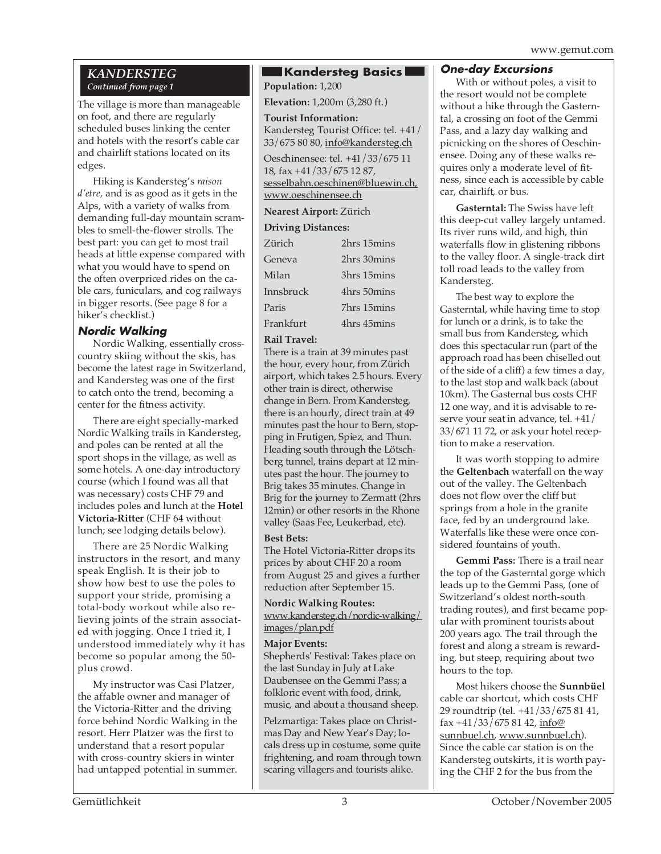www.gemut.com

#### *KANDERSTEG Continued from page 1*

The village is more than manageable on foot, and there are regularly scheduled buses linking the center and hotels with the resort's cable car and chairlift stations located on its edges.

Hiking is Kandersteg's *raison d'etre,* and is as good as it gets in the Alps, with a variety of walks from demanding full-day mountain scrambles to smell-the-flower strolls. The best part: you can get to most trail heads at little expense compared with what you would have to spend on the often overpriced rides on the cable cars, funiculars, and cog railways in bigger resorts. (See page 8 for a hiker's checklist.)

## **Nordic Walking**

Nordic Walking, essentially crosscountry skiing without the skis, has become the latest rage in Switzerland, and Kandersteg was one of the first to catch onto the trend, becoming a center for the fitness activity.

There are eight specially-marked Nordic Walking trails in Kandersteg, and poles can be rented at all the sport shops in the village, as well as some hotels. A one-day introductory course (which I found was all that was necessary) costs CHF 79 and includes poles and lunch at the **Hotel Victoria-Ritter** (CHF 64 without lunch; see lodging details below).

There are 25 Nordic Walking instructors in the resort, and many speak English. It is their job to show how best to use the poles to support your stride, promising a total-body workout while also relieving joints of the strain associated with jogging. Once I tried it, I understood immediately why it has become so popular among the 50 plus crowd.

My instructor was Casi Platzer, the affable owner and manager of the Victoria-Ritter and the driving force behind Nordic Walking in the resort. Herr Platzer was the first to understand that a resort popular with cross-country skiers in winter had untapped potential in summer.

### **Kandersteg Basics**

. **Population:** 1,200 **Elevation:** 1,200m (3,280 ft.)

**Tourist Information:** Kandersteg Tourist Office: tel. +41/ 33/675 80 80, info@kandersteg.ch

Oeschinensee: tel. +41/33/675 11 18, fax +41/33/675 12 87, sesselbahn.oeschinen@bluewin.ch, www.oeschinensee.ch

## **Nearest Airport:** Zürich

## **Driving Distances:**

| $D_{II}$ v $\mathbf{u}_{\mathbf{k}}$ $D_{I}$ $\mathbf{v}_{II}$ $\mathbf{u}_{II}$ |             |  |
|----------------------------------------------------------------------------------|-------------|--|
| Zürich                                                                           | 2hrs 15mins |  |
| Geneva                                                                           | 2hrs 30mins |  |
| Milan                                                                            | 3hrs 15mins |  |
| Innsbruck                                                                        | 4hrs 50mins |  |
| Paris                                                                            | 7hrs 15mins |  |
| Frankfurt                                                                        | 4hrs 45mins |  |

#### **Rail Travel:**

There is a train at 39 minutes past the hour, every hour, from Zürich airport, which takes 2.5 hours. Every other train is direct, otherwise change in Bern. From Kandersteg, there is an hourly, direct train at 49 minutes past the hour to Bern, stopping in Frutigen, Spiez, and Thun. Heading south through the Lötschberg tunnel, trains depart at 12 minutes past the hour. The journey to Brig takes 35 minutes. Change in Brig for the journey to Zermatt (2hrs 12min) or other resorts in the Rhone valley (Saas Fee, Leukerbad, etc).

#### **Best Bets:**

The Hotel Victoria-Ritter drops its prices by about CHF 20 a room from August 25 and gives a further reduction after September 15.

**Nordic Walking Routes:** www.kandersteg.ch/nordic-walking/ images/plan.pdf

#### **Major Events:**

Shepherds' Festival: Takes place on the last Sunday in July at Lake Daubensee on the Gemmi Pass; a folkloric event with food, drink, music, and about a thousand sheep.

Pelzmartiga: Takes place on Christmas Day and New Year's Day; locals dress up in costume, some quite frightening, and roam through town scaring villagers and tourists alike.

#### **One-day Excursions**

With or without poles, a visit to the resort would not be complete without a hike through the Gasterntal, a crossing on foot of the Gemmi Pass, and a lazy day walking and picnicking on the shores of Oeschinensee. Doing any of these walks requires only a moderate level of fitness, since each is accessible by cable car, chairlift, or bus.

**Gasterntal:** The Swiss have left this deep-cut valley largely untamed. Its river runs wild, and high, thin waterfalls flow in glistening ribbons to the valley floor. A single-track dirt toll road leads to the valley from Kandersteg.

The best way to explore the Gasterntal, while having time to stop for lunch or a drink, is to take the small bus from Kandersteg, which does this spectacular run (part of the approach road has been chiselled out of the side of a cliff) a few times a day, to the last stop and walk back (about 10km). The Gasternal bus costs CHF 12 one way, and it is advisable to reserve your seat in advance, tel. +41/ 33/671 11 72, or ask your hotel reception to make a reservation.

It was worth stopping to admire the **Geltenbach** waterfall on the way out of the valley. The Geltenbach does not flow over the cliff but springs from a hole in the granite face, fed by an underground lake. Waterfalls like these were once considered fountains of youth.

**Gemmi Pass:** There is a trail near the top of the Gasterntal gorge which leads up to the Gemmi Pass, (one of Switzerland's oldest north-south trading routes), and first became popular with prominent tourists about 200 years ago. The trail through the forest and along a stream is rewarding, but steep, requiring about two hours to the top.

Most hikers choose the **Sunnbüel** cable car shortcut, which costs CHF 29 roundtrip (tel. +41/33/675 81 41, fax +41/33/675 81 42, info@ sunnbuel.ch, www.sunnbuel.ch). Since the cable car station is on the Kandersteg outskirts, it is worth paying the CHF 2 for the bus from the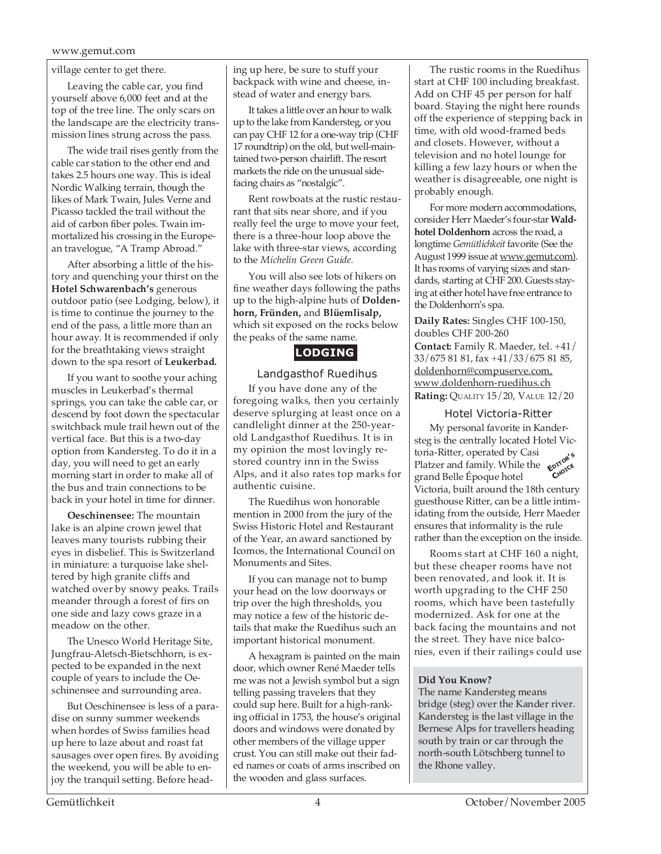#### www.gemut.com

village center to get there.

Leaving the cable car, you find yourself above 6,000 feet and at the top of the tree line. The only scars on the landscape are the electricity transmission lines strung across the pass.

The wide trail rises gently from the cable car station to the other end and takes 2.5 hours one way. This is ideal Nordic Walking terrain, though the likes of Mark Twain, Jules Verne and Picasso tackled the trail without the aid of carbon fiber poles. Twain immortalized his crossing in the European travelogue, "A Tramp Abroad."

After absorbing a little of the history and quenching your thirst on the **Hotel Schwarenbach's** generous outdoor patio (see Lodging, below), it is time to continue the journey to the end of the pass, a little more than an hour away. It is recommended if only for the breathtaking views straight down to the spa resort of **Leukerbad.**

If you want to soothe your aching muscles in Leukerbad's thermal springs, you can take the cable car, or descend by foot down the spectacular switchback mule trail hewn out of the vertical face. But this is a two-day option from Kandersteg. To do it in a day, you will need to get an early morning start in order to make all of the bus and train connections to be back in your hotel in time for dinner.

**Oeschinensee:** The mountain lake is an alpine crown jewel that leaves many tourists rubbing their eyes in disbelief. This is Switzerland in miniature: a turquoise lake sheltered by high granite cliffs and watched over by snowy peaks. Trails meander through a forest of firs on one side and lazy cows graze in a meadow on the other.

The Unesco World Heritage Site, Jungfrau-Aletsch-Bietschhorn, is expected to be expanded in the next couple of years to include the Oeschinensee and surrounding area.

But Oeschinensee is less of a paradise on sunny summer weekends when hordes of Swiss families head up here to laze about and roast fat sausages over open fires. By avoiding the weekend, you will be able to enjoy the tranquil setting. Before heading up here, be sure to stuff your backpack with wine and cheese, instead of water and energy bars.

It takes a little over an hour to walk up to the lake from Kandersteg, or you can pay CHF 12 for a one-way trip (CHF 17 roundtrip) on the old, but well-maintained two-person chairlift. The resort markets the ride on the unusual sidefacing chairs as "nostalgic".

Rent rowboats at the rustic restaurant that sits near shore, and if you really feel the urge to move your feet, there is a three-hour loop above the lake with three-star views, according to the *Michelin Green Guide.*

You will also see lots of hikers on fine weather days following the paths up to the high-alpine huts of **Doldenhorn, Fründen,** and **Blüemlisalp,** which sit exposed on the rocks below the peaks of the same name.

## **LODGING**

#### Landgasthof Ruedihus

If you have done any of the foregoing walks, then you certainly deserve splurging at least once on a candlelight dinner at the 250-yearold Landgasthof Ruedihus. It is in my opinion the most lovingly restored country inn in the Swiss Alps, and it also rates top marks for authentic cuisine.

The Ruedihus won honorable mention in 2000 from the jury of the Swiss Historic Hotel and Restaurant of the Year, an award sanctioned by Icomos, the International Council on Monuments and Sites.

If you can manage not to bump your head on the low doorways or trip over the high thresholds, you may notice a few of the historic details that make the Ruedihus such an important historical monument.

A hexagram is painted on the main door, which owner René Maeder tells me was not a Jewish symbol but a sign telling passing travelers that they could sup here. Built for a high-ranking official in 1753, the house's original doors and windows were donated by other members of the village upper crust. You can still make out their faded names or coats of arms inscribed on the wooden and glass surfaces.

The rustic rooms in the Ruedihus start at CHF 100 including breakfast. Add on CHF 45 per person for half board. Staying the night here rounds off the experience of stepping back in time, with old wood-framed beds and closets. However, without a television and no hotel lounge for killing a few lazy hours or when the weather is disagreeable, one night is probably enough.

For more modern accommodations, consider Herr Maeder's four-star **Waldhotel Doldenhorn** across the road, a longtime *Gemütlichkeit* favorite (See the August 1999 issue at www.gemut.com). It has rooms of varying sizes and standards, starting at CHF 200. Guests staying at either hotel have free entrance to the Doldenhorn's spa.

**Daily Rates:** Singles CHF 100-150, doubles CHF 200-260 **Contact:** Family R. Maeder, tel. +41/ 33/675 81 81, fax +41/33/675 81 85, doldenhorn@compuserve.com, www.doldenhorn-ruedihus.ch **Rating:** QUALITY 15/20, VALUE 12/20

#### Hotel Victoria-Ritter

My personal favorite in Kandersteg is the centrally located Hotel Victoria-Ritter, operated by Casi **Platzer and family. While the**  $\epsilon^{\text{prove}}$ **<br>Platzer and family. While the**  $\epsilon^{\text{prove}}$ grand Belle Époque hotel Victoria, built around the 18th century guesthouse Ritter, can be a little intimidating from the outside, Herr Maeder ensures that informality is the rule rather than the exception on the inside.

Rooms start at CHF 160 a night, but these cheaper rooms have not been renovated, and look it. It is worth upgrading to the CHF 250 rooms, which have been tastefully modernized. Ask for one at the back facing the mountains and not the street. They have nice balconies, even if their railings could use

#### **Did You Know?**

The name Kandersteg means bridge (steg) over the Kander river. Kandersteg is the last village in the Bernese Alps for travellers heading south by train or car through the north-south Lötschberg tunnel to the Rhone valley.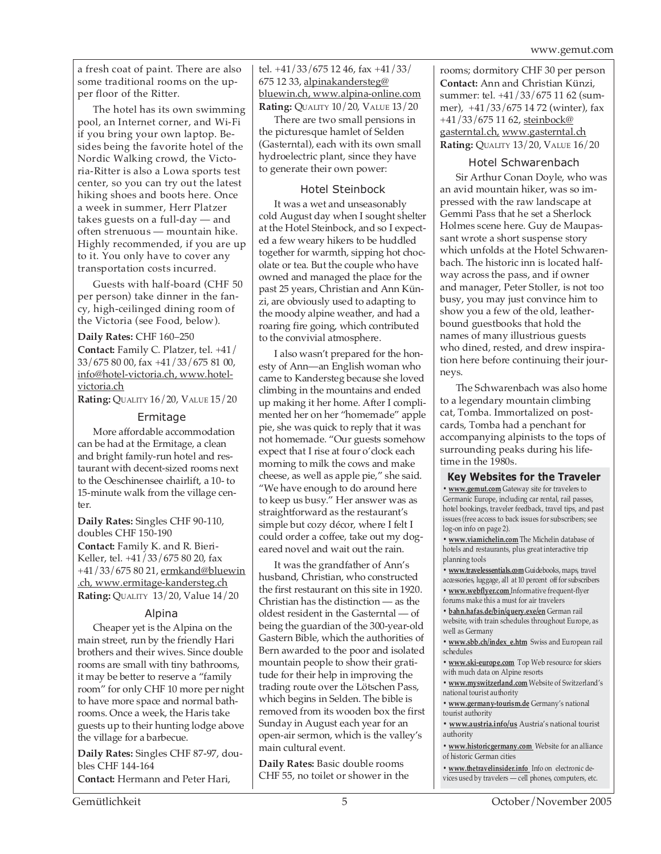a fresh coat of paint. There are also some traditional rooms on the upper floor of the Ritter.

The hotel has its own swimming pool, an Internet corner, and Wi-Fi if you bring your own laptop. Besides being the favorite hotel of the Nordic Walking crowd, the Victoria-Ritter is also a Lowa sports test center, so you can try out the latest hiking shoes and boots here. Once a week in summer, Herr Platzer takes guests on a full-day — and often strenuous — mountain hike. Highly recommended, if you are up to it. You only have to cover any transportation costs incurred.

Guests with half-board (CHF 50 per person) take dinner in the fancy, high-ceilinged dining room of the Victoria (see Food, below).

#### **Daily Rates:** CHF 160–250

**Contact:** Family C. Platzer, tel. +41/ 33/675 80 00, fax +41/33/675 81 00, info@hotel-victoria.ch, www.hotelvictoria.ch

**Rating:** QUALITY 16/20, VALUE 15/20

#### Ermitage

More affordable accommodation can be had at the Ermitage, a clean and bright family-run hotel and restaurant with decent-sized rooms next to the Oeschinensee chairlift, a 10- to 15-minute walk from the village center.

**Daily Rates:** Singles CHF 90-110, doubles CHF 150-190 **Contact:** Family K. and R. Bieri-Keller, tel. +41/33/675 80 20, fax +41/33/675 80 21, ermkand@bluewin .ch, www.ermitage-kandersteg.ch **Rating:** QUALITY 13/20, Value 14/20

#### Alpina

Cheaper yet is the Alpina on the main street, run by the friendly Hari brothers and their wives. Since double rooms are small with tiny bathrooms, it may be better to reserve a "family room" for only CHF 10 more per night to have more space and normal bathrooms. Once a week, the Haris take guests up to their hunting lodge above the village for a barbecue.

**Daily Rates:** Singles CHF 87-97, doubles CHF 144-164 **Contact:** Hermann and Peter Hari,

tel. +41/33/675 12 46, fax +41/33/ 675 12 33, alpinakandersteg@ bluewin.ch, www.alpina-online.com **Rating:** QUALITY 10/20, VALUE 13/20

There are two small pensions in the picturesque hamlet of Selden (Gasterntal), each with its own small hydroelectric plant, since they have to generate their own power:

#### Hotel Steinbock

It was a wet and unseasonably cold August day when I sought shelter at the Hotel Steinbock, and so I expected a few weary hikers to be huddled together for warmth, sipping hot chocolate or tea. But the couple who have owned and managed the place for the past 25 years, Christian and Ann Künzi, are obviously used to adapting to the moody alpine weather, and had a roaring fire going, which contributed to the convivial atmosphere.

I also wasn't prepared for the honesty of Ann—an English woman who came to Kandersteg because she loved climbing in the mountains and ended up making it her home. After I complimented her on her "homemade" apple pie, she was quick to reply that it was not homemade. "Our guests somehow expect that I rise at four o'clock each morning to milk the cows and make cheese, as well as apple pie," she said. "We have enough to do around here to keep us busy." Her answer was as straightforward as the restaurant's simple but cozy décor, where I felt I could order a coffee, take out my dogeared novel and wait out the rain.

It was the grandfather of Ann's husband, Christian, who constructed the first restaurant on this site in 1920. Christian has the distinction — as the oldest resident in the Gasterntal — of being the guardian of the 300-year-old Gastern Bible, which the authorities of Bern awarded to the poor and isolated mountain people to show their gratitude for their help in improving the trading route over the Lötschen Pass, which begins in Selden. The bible is removed from its wooden box the first Sunday in August each year for an open-air sermon, which is the valley's main cultural event.

**Daily Rates:** Basic double rooms CHF 55, no toilet or shower in the rooms; dormitory CHF 30 per person **Contact:** Ann and Christian Künzi, summer: tel. +41/33/675 11 62 (summer), +41/33/675 14 72 (winter), fax +41/33/675 11 62, steinbock@ gasterntal.ch, www.gasterntal.ch **Rating:** QUALITY 13/20, VALUE 16/20

#### Hotel Schwarenbach

Sir Arthur Conan Doyle, who was an avid mountain hiker, was so impressed with the raw landscape at Gemmi Pass that he set a Sherlock Holmes scene here. Guy de Maupassant wrote a short suspense story which unfolds at the Hotel Schwarenbach. The historic inn is located halfway across the pass, and if owner and manager, Peter Stoller, is not too busy, you may just convince him to show you a few of the old, leatherbound guestbooks that hold the names of many illustrious guests who dined, rested, and drew inspiration here before continuing their journeys.

The Schwarenbach was also home to a legendary mountain climbing cat, Tomba. Immortalized on postcards, Tomba had a penchant for accompanying alpinists to the tops of surrounding peaks during his lifetime in the 1980s.

#### **Key Websites for the Traveler**

**• www.gemut.com** Gateway site for travelers to Germanic Europe, including car rental, rail passes, hotel bookings, traveler feedback, travel tips, and past issues (free access to back issues for subscribers; see log-on info on page 2).

**• www.viamichelin.com** The Michelin database of hotels and restaurants, plus great interactive trip planning tools

**• www.travelessentials.com** Guidebooks, maps, travel accessories, luggage, all at 10 percent off for subscribers

**• www.webflyer.com** Informative frequent-flyer forums make this a must for air travelers

**• bahn.hafas.de/bin/query.exe/en** German rail website, with train schedules throughout Europe, as well as Germany

**• www.sbb.ch/index\_e.htm** Swiss and European rail schedules

**• www.ski-europe.com** Top Web resource for skiers with much data on Alpine resorts

**• www.myswitzerland.com** Website of Switzerland's national tourist authority

**• www.germany-tourism.de** Germany's national tourist authority

**• www.austria.info/us** Austria's national tourist authority

**• www.historicgermany.com** Website for an alliance of historic German cities

**• www.thetravelinsider.info** Info on electronic devices used by travelers — cell phones, computers, etc.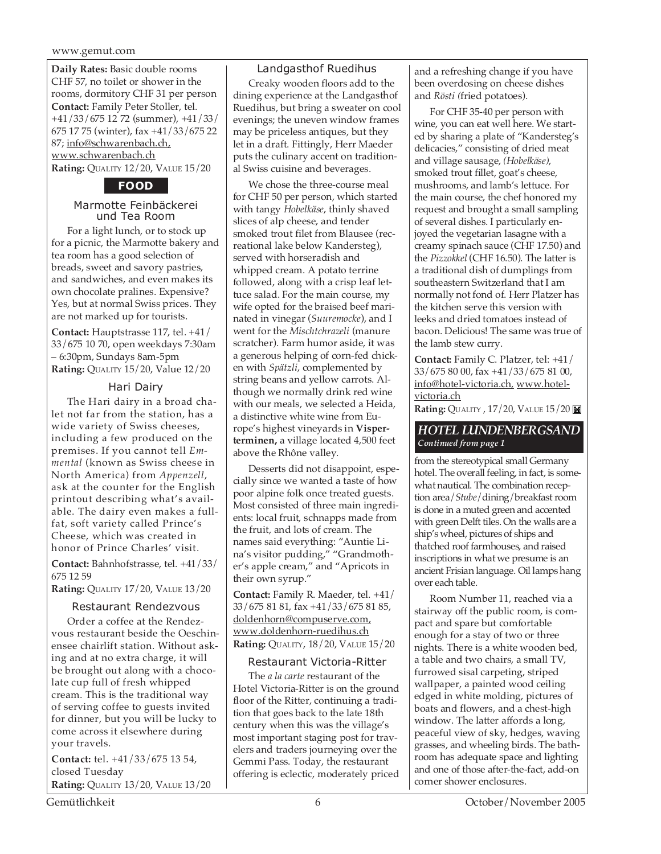#### www.gemut.com

**Daily Rates:** Basic double rooms CHF 57, no toilet or shower in the rooms, dormitory CHF 31 per person **Contact:** Family Peter Stoller, tel. +41/33/675 12 72 (summer), +41/33/ 675 17 75 (winter), fax +41/33/675 22 87; info@schwarenbach.ch, www.schwarenbach.ch **Rating:** QUALITY 12/20, VALUE 15/20

#### **FOOD**

#### Marmotte Feinbäckerei und Tea Room

For a light lunch, or to stock up for a picnic, the Marmotte bakery and tea room has a good selection of breads, sweet and savory pastries, and sandwiches, and even makes its own chocolate pralines. Expensive? Yes, but at normal Swiss prices. They are not marked up for tourists.

**Contact:** Hauptstrasse 117, tel. +41/ 33/675 10 70, open weekdays 7:30am – 6:30pm, Sundays 8am-5pm **Rating:** QUALITY 15/20, Value 12/20

#### Hari Dairy

The Hari dairy in a broad chalet not far from the station, has a wide variety of Swiss cheeses, including a few produced on the premises. If you cannot tell *Emmental* (known as Swiss cheese in North America) from *Appenzell*, ask at the counter for the English printout describing what's available. The dairy even makes a fullfat, soft variety called Prince's Cheese, which was created in honor of Prince Charles' visit.

**Contact:** Bahnhofstrasse, tel. +41/33/ 675 12 59

**Rating:** QUALITY 17/20, VALUE 13/20

#### Restaurant Rendezvous

Order a coffee at the Rendezvous restaurant beside the Oeschinensee chairlift station. Without asking and at no extra charge, it will be brought out along with a chocolate cup full of fresh whipped cream. This is the traditional way of serving coffee to guests invited for dinner, but you will be lucky to come across it elsewhere during your travels.

**Contact:** tel. +41/33/675 13 54, closed Tuesday **Rating:** QUALITY 13/20, VALUE 13/20

Landgasthof Ruedihus Creaky wooden floors add to the dining experience at the Landgasthof Ruedihus, but bring a sweater on cool evenings; the uneven window frames may be priceless antiques, but they let in a draft. Fittingly, Herr Maeder puts the culinary accent on traditional Swiss cuisine and beverages.

We chose the three-course meal for CHF 50 per person, which started with tangy *Hobelkäse*, thinly shaved slices of alp cheese, and tender smoked trout filet from Blausee (recreational lake below Kandersteg), served with horseradish and whipped cream. A potato terrine followed, along with a crisp leaf lettuce salad. For the main course, my wife opted for the braised beef marinated in vinegar (*Suuremocke*), and I went for the *Mischtchrazeli* (manure scratcher). Farm humor aside, it was a generous helping of corn-fed chicken with *Spätzli*, complemented by string beans and yellow carrots. Although we normally drink red wine with our meals, we selected a Heida, a distinctive white wine from Europe's highest vineyards in **Visperterminen,** a village located 4,500 feet above the Rhône valley.

Desserts did not disappoint, especially since we wanted a taste of how poor alpine folk once treated guests. Most consisted of three main ingredients: local fruit, schnapps made from the fruit, and lots of cream. The names said everything: "Auntie Lina's visitor pudding," "Grandmother's apple cream," and "Apricots in their own syrup."

**Contact:** Family R. Maeder, tel. +41/ 33/675 81 81, fax +41/33/675 81 85, doldenhorn@compuserve.com, www.doldenhorn-ruedihus.ch **Rating:** QUALITY, 18/20, VALUE 15/20

#### Restaurant Victoria-Ritter

The *a la carte* restaurant of the Hotel Victoria-Ritter is on the ground floor of the Ritter, continuing a tradition that goes back to the late 18th century when this was the village's most important staging post for travelers and traders journeying over the Gemmi Pass. Today, the restaurant offering is eclectic, moderately priced and a refreshing change if you have been overdosing on cheese dishes and *Rösti (*fried potatoes).

For CHF 35-40 per person with wine, you can eat well here. We started by sharing a plate of "Kandersteg's delicacies," consisting of dried meat and village sausage, *(Hobelkäse)*, smoked trout fillet, goat's cheese, mushrooms, and lamb's lettuce. For the main course, the chef honored my request and brought a small sampling of several dishes. I particularly enjoyed the vegetarian lasagne with a creamy spinach sauce (CHF 17.50) and the *Pizzokkel* (CHF 16.50). The latter is a traditional dish of dumplings from southeastern Switzerland that I am normally not fond of. Herr Platzer has the kitchen serve this version with leeks and dried tomatoes instead of bacon. Delicious! The same was true of the lamb stew curry.

**Contact:** Family C. Platzer, tel: +41/ 33/675 80 00, fax +41/33/675 81 00, info@hotel-victoria.ch, www.hotelvictoria.ch

**Rating: QUALITY, 17/20, VALUE 15/20** 

#### *HOTEL LUNDENBERGSAND Continued from page 1*

from the stereotypical small Germany hotel. The overall feeling, in fact, is somewhat nautical. The combination reception area/*Stube*/dining/breakfast room is done in a muted green and accented with green Delft tiles. On the walls are a ship's wheel, pictures of ships and thatched roof farmhouses, and raised inscriptions in what we presume is an ancient Frisian language. Oil lamps hang over each table.

Room Number 11, reached via a stairway off the public room, is compact and spare but comfortable enough for a stay of two or three nights. There is a white wooden bed, a table and two chairs, a small TV, furrowed sisal carpeting, striped wallpaper, a painted wood ceiling edged in white molding, pictures of boats and flowers, and a chest-high window. The latter affords a long, peaceful view of sky, hedges, waving grasses, and wheeling birds. The bathroom has adequate space and lighting and one of those after-the-fact, add-on corner shower enclosures.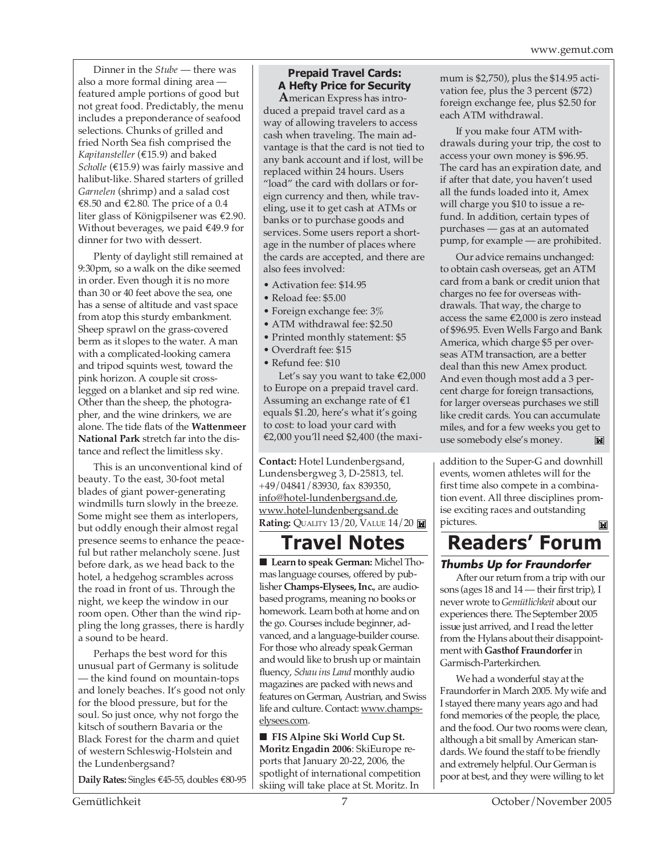Dinner in the *Stube* — there was also a more formal dining area featured ample portions of good but not great food. Predictably, the menu includes a preponderance of seafood selections. Chunks of grilled and fried North Sea fish comprised the *Kapitansteller* (€15.9) and baked *Scholle* (€15.9) was fairly massive and halibut-like. Shared starters of grilled *Garnelen* (shrimp) and a salad cost €8.50 and €2.80. The price of a 0.4 liter glass of Königpilsener was €2.90. Without beverages, we paid €49.9 for dinner for two with dessert.

Plenty of daylight still remained at 9:30pm, so a walk on the dike seemed in order. Even though it is no more than 30 or 40 feet above the sea, one has a sense of altitude and vast space from atop this sturdy embankment. Sheep sprawl on the grass-covered berm as it slopes to the water. A man with a complicated-looking camera and tripod squints west, toward the pink horizon. A couple sit crosslegged on a blanket and sip red wine. Other than the sheep, the photographer, and the wine drinkers, we are alone. The tide flats of the **Wattenmeer National Park** stretch far into the distance and reflect the limitless sky.

This is an unconventional kind of beauty. To the east, 30-foot metal blades of giant power-generating windmills turn slowly in the breeze. Some might see them as interlopers, but oddly enough their almost regal presence seems to enhance the peaceful but rather melancholy scene. Just before dark, as we head back to the hotel, a hedgehog scrambles across the road in front of us. Through the night, we keep the window in our room open. Other than the wind rippling the long grasses, there is hardly a sound to be heard.

Perhaps the best word for this unusual part of Germany is solitude — the kind found on mountain-tops and lonely beaches. It's good not only for the blood pressure, but for the soul. So just once, why not forgo the kitsch of southern Bavaria or the Black Forest for the charm and quiet of western Schleswig-Holstein and the Lundenbergsand?

**Daily Rates:** Singles €45-55, doubles €80-95

## **Prepaid Travel Cards: A Hefty Price for Security**

**A**merican Express has introduced a prepaid travel card as a way of allowing travelers to access cash when traveling. The main advantage is that the card is not tied to any bank account and if lost, will be replaced within 24 hours. Users "load" the card with dollars or foreign currency and then, while traveling, use it to get cash at ATMs or banks or to purchase goods and services. Some users report a shortage in the number of places where the cards are accepted, and there are also fees involved:

- Activation fee: \$14.95
- Reload fee: \$5.00
- Foreign exchange fee: 3%
- ATM withdrawal fee: \$2.50
- Printed monthly statement: \$5
- Overdraft fee: \$15
- Refund fee: \$10

Let's say you want to take €2,000 to Europe on a prepaid travel card. Assuming an exchange rate of  $\epsilon$ 1 equals \$1.20, here's what it's going to cost: to load your card with €2,000 you'll need \$2,400 (the maxi-

**Contact:** Hotel Lundenbergsand, Lundensbergweg 3, D-25813, tel. +49/04841/83930, fax 839350, info@hotel-lundenbergsand.de, www.hotel-lundenbergsand.de **Rating: QUALITY 13/20, VALUE 14/20 <b>M** 

# **Travel Notes**

■ **Learn to speak German:** Michel Thomas language courses, offered by publisher **Champs-Elysees, Inc.**, are audiobased programs, meaning no books or homework. Learn both at home and on the go. Courses include beginner, advanced, and a language-builder course. For those who already speak German and would like to brush up or maintain fluency, *Schau ins Land* monthly audio magazines are packed with news and features on German, Austrian, and Swiss life and culture. Contact: www.champselysees.com.

■ **FIS Alpine Ski World Cup St. Moritz Engadin 2006**: SkiEurope reports that January 20-22, 2006, the spotlight of international competition skiing will take place at St. Moritz. In mum is \$2,750), plus the \$14.95 activation fee, plus the 3 percent (\$72) foreign exchange fee, plus \$2.50 for each ATM withdrawal.

If you make four ATM withdrawals during your trip, the cost to access your own money is \$96.95. The card has an expiration date, and if after that date, you haven't used all the funds loaded into it, Amex will charge you \$10 to issue a refund. In addition, certain types of purchases — gas at an automated pump, for example — are prohibited.

Our advice remains unchanged: to obtain cash overseas, get an ATM card from a bank or credit union that charges no fee for overseas withdrawals. That way, the charge to access the same €2,000 is zero instead of \$96.95. Even Wells Fargo and Bank America, which charge \$5 per overseas ATM transaction, are a better deal than this new Amex product. And even though most add a 3 percent charge for foreign transactions, for larger overseas purchases we still like credit cards. You can accumulate miles, and for a few weeks you get to use somebody else's money.  $\mathbb{M}$ 

addition to the Super-G and downhill events, women athletes will for the first time also compete in a combination event. All three disciplines promise exciting races and outstanding pictures.  $\mathbf{M}$ 

# **Readers' Forum**

## **Thumbs Up for Fraundorfer**

After our return from a trip with our sons (ages 18 and 14 — their first trip), I never wrote to *Gemütlichkeit* about our experiences there. The September 2005 issue just arrived, and I read the letter from the Hylans about their disappointment with **Gasthof Fraundorfer** in Garmisch-Parterkirchen.

We had a wonderful stay at the Fraundorfer in March 2005. My wife and I stayed there many years ago and had fond memories of the people, the place, and the food. Our two rooms were clean, although a bit small by American standards. We found the staff to be friendly and extremely helpful. Our German is poor at best, and they were willing to let